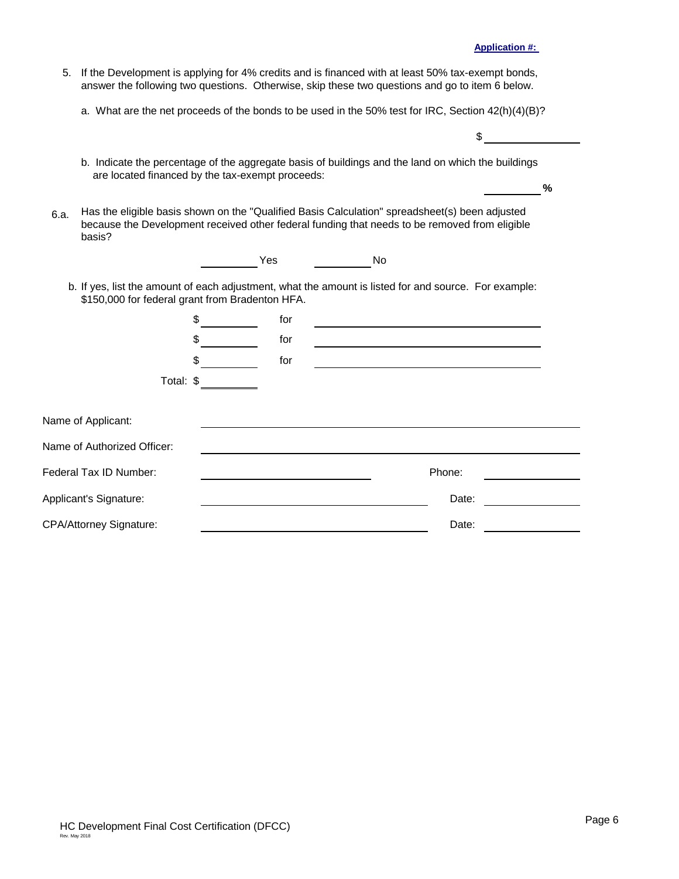## **FINAL COST CERTIFICATION APPLICATION PACKAGE**

### FORMS AND INSTRUCTIONS

These instructions are designed to assist Housing Credits (HC) Applicants and independent Certified Public Accountants in the preparation and submission of a Final Cost Certification Application Package (FCCAP). The FCCAP is comprised of the HC Development Final Cost Certification (DFCC), the unqualified audit report from an independent Certified Public Accountant regarding the DFCC, the General Contractor Cost Certification (GCCC), the unqualified audit report from an independent Certified Public Accountant regarding the GCCC, and the additional documentation as required by the "Additional Documents Required for the FCCAP" section below.

The FCCAP for competitive HC Developments that received a Carryover Allocation and for noncompetitive HC Developments financed with tax-exempt bonds must be completed and submitted to the Corporation within 75 days after the last building in the HC Development has been placed in service, and for Competitive HC Developments that did not receive a Carryover Allocation, 30 days prior to the end of the calendar year for which the Final Tax Credit Allocation is requested.

The purpose of the cost certification process is to establish the total actual costs incurred by the HC Applicant in the delivery of a HC Development. This will enable Florida Housing to determine certain development costs and the amount of subsidy to be allocated to the HC Development. All costs are included in the calculation of the total development costs; however, not all such costs are necessarily recognizable in determining the eligible basis and the amount of HCs to be allocated.

The DFCC and the GCCC documentation is required of all HC Applicants. The HC Applicant is obligated to submit or cause to be submitted the cost certifications applicable to the HC Development and the General Contractor (see separate instructions for the GCCC). The DFCC must be completed by the HC Applicant and returned to Florida Housing along with an unqualified audit report from an independent Certified Public Accountant, each component of which must be reviewed and accepted by Florida Housing prior to the issuance of Final Housing Credit Allocation Certificate and IRS Forms (Form 8609). The Certified Public Accountant's report must provide the findings of its audit of the HC Applicant's Development costs and state the HC Development's Final Cost Certification was completed according to proper regulatory procedures and professional standards, inclusive of the requirements provided herein.

The HC Applicant will receive a HC Development Final Cost Certification template as an electronic Microsoft Excel file. Instructions for completing it are provided below. Please read the instructions before attempting to complete it.

All expenditures must be reduced by the amounts of any rebates, allowances, trade discounts, reimbursements, adjustments or other sums that the HC Applicant has received or is to receive.

Florida Housing reserves the right to exclude any cost when the amount is determined to be so high as to be out-of-line with reasonable and necessary costs or not in compliance with any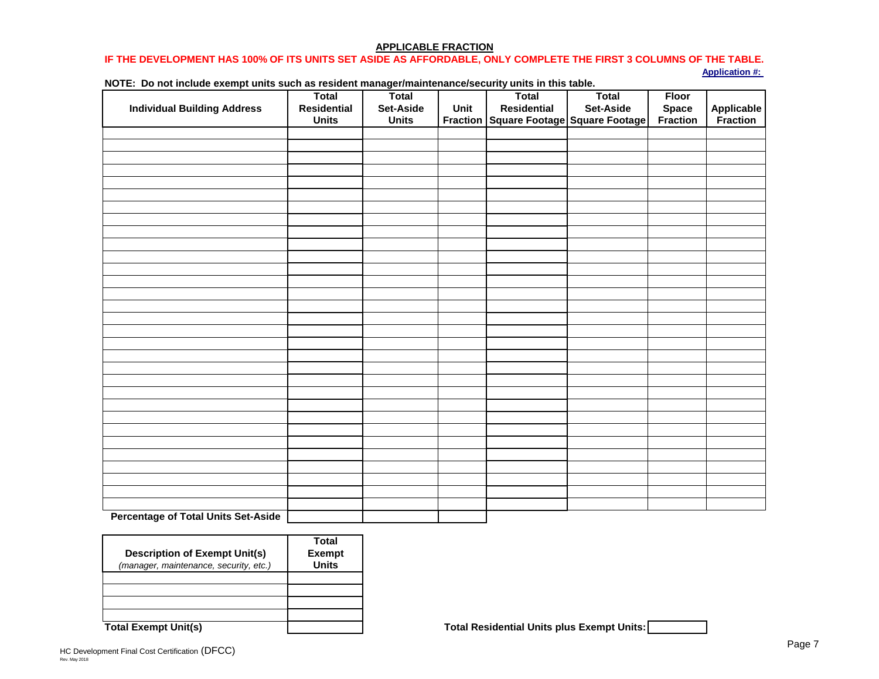restrictions outlined in the application, credit underwriting, and/or allocation processes. Florida Housing also reserves the right to exclude any cost deemed not appropriate as provided in Section 42 of the Internal Revenue Code.

The costs included in the GCCC must be included in the DFCC. The costs in the GCCC should be segregated into the construction categories provided below and entered accordingly on the Actual Construction Cost section of the DFCC, except for items included under General Development Costs and specifically identified as being associated with the construction contract (such as Furnishings and Appliances, if applicable).

Accessory Buildings: Should be comprised of all trade items from the GC Cost Breakdown schedule not identified as being Demolition, Site Work, Off-Site Work, or Furnishings/Appliances and any other item(s) included under General Development Costs, but directly related to the delivery of any accessory building.

Demolition: Should be comprised of the following trade items from the GC Cost Breakdown schedule: Demolition and Asbestos Abatement.

New Rental Units: Should be comprised of all trade items from the GC Cost Breakdown schedule not identified as being Demolition, Site Work, Off-Site Work, or Furnishings/Appliances and any other item(s) included under General Development Costs, but directly related to the delivery of new construction units.

Off-Site Work: Should be comprised of the following trade items from the GC Cost Breakdown schedule: Earthwork, Site Utilities, Roads, Walks & Paving, Site Improvements, Lawns and Planting, and Unusual Site Conditions.

Recreational Amenities: Should be comprised of all trade items from the GC Cost Breakdown schedule not identified as being Demolition, Site Work, Off-Site Work, or Furnishings/Appliances and any other item(s) included under General Development Costs, but directly related to the recreational amenities.

Rehabilitation of Existing Common Areas: Should be comprised of all trade items from the GC Cost Breakdown schedule not identified as being Demolition, Site Work, Off-Site Work, or Furnishings/Appliances and any other item(s) included under General Development Costs, but directly related to the rehabilitation of existing common areas.

Rehabilitation of Existing Rental Units: Should be comprised of all trade items from the GC Cost Breakdown schedule not identified as being Demolition, Site Work, Off-Site Work, or Furnishings/Appliances and any other item(s) included under General Development Costs, but directly related to the rehabilitation of existing units.

Site Work: Should be comprised of the following trade items from the GC Cost Breakdown schedule: Earthwork, Site Utilities, Roads, Walks & Paving, Site Improvements, Lawns and Planting and Unusual Site Conditions.

Other: Should be comprised of any costs that should not be included in any other category, but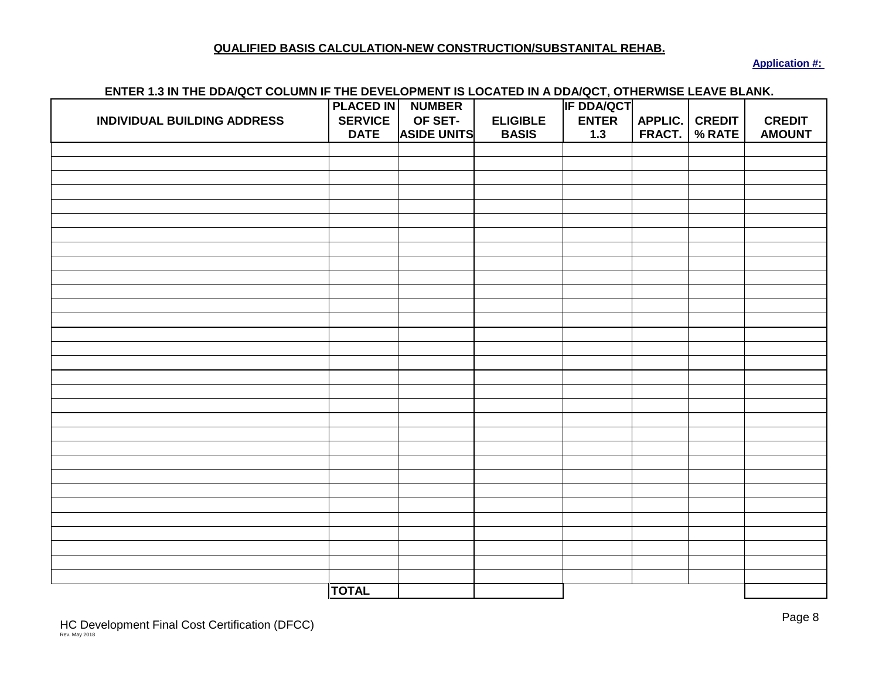does not include general requirements, contractor's profit, or contractor's overhead. Primarily it would include costs associated with commercial space and the trade item section entitled Other Fees Paid by the General Contractor.

General Requirements (on-site): This cost line-item should come directly from the GC Cost Breakdown schedule.

Building Contractor's Profit: This cost line-item should come directly from the GC Cost Breakdown schedule.

Building Contractor's Overhead: This cost line-item should come directly from the GC Cost Breakdown schedule.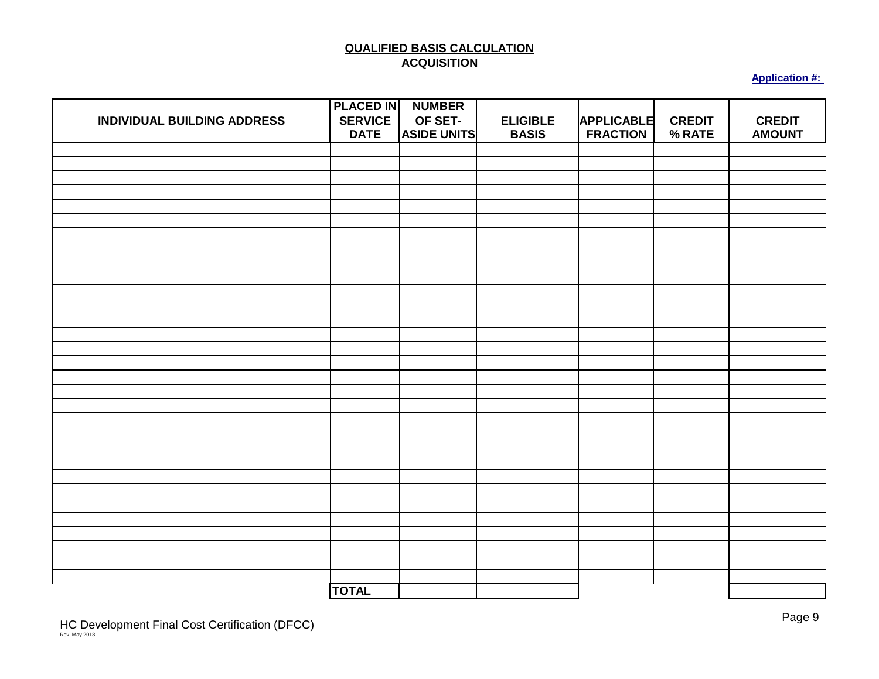## **ADDITIONAL DOCUMENTS REQUIRED FOR THE FCCAP**

Refer to the paragraph below that describes the HC Development for the required documentation that must be submitted for the FCCAP. Please note that **Compliance/Monitoring fees are not due for Developments funded more than 50% by Florida Housing tax-exempt bonds**.

### **New Construction Without Rural Development Financing must provide:**

- 1) Certificates of Occupancy for each building;
- 2) Compliance monitoring fee. The amount of the fee can be obtained by calling the Housing Credit staff at (850) 488-4197.
- 3) Copy of the executed Syndication Agreement (Limited Partnership Agreement);
- 4) Original Extended Low-Income Housing Agreement properly signed along with appropriate recording fee. This was sent to the HC Development's point of contact approximately 60 days prior to the HC Development's estimated Placed-In-Service date. The Agreement must be in effect by the end of the taxable year that the HC Development plans to claim housing credits in order for a HC Development to claim the credits.
- 5) Photographs of the completed HC Development.
- 6) Executed IRS form 8821 for each financial beneficiary.

### **Substantial Rehabilitation Without Rural Development Financing must provide:**

- 1) Evidence reflecting completion of work such as: Certificates of Occupancy, final inspection certificates completed by the local government building inspector, a final inspection certificate from the lender or a letter from the contractor providing detailed list of the work performed.
- 2) Compliance/monitoring fee. The amount of the fee can be obtained by calling the Housing Credit staff at (850) 488-4197.
- 3) Copy of the executed Syndication Agreement (Limited Partnership Agreement).
- 4) Original Extended Low-Income Housing Agreement properly signed with appropriate recording fee. This was sent to the HC Development's point of contact approximately 60 days prior to the HC Development's estimated Placed-In-Service date. The Agreement must be in effect by the end of the taxable year that the HC Development plans to claim housing credits in order for a HC Development to claim the credits.
- 5) Photographs of the completed HC Development.
- 6) Executed IRS form 8821 for each financial beneficiary.

### **Acquisition Without Rural Development Financing must provide:**

1) A copy of the closing statement for the HC Development's acquisition.

Page 4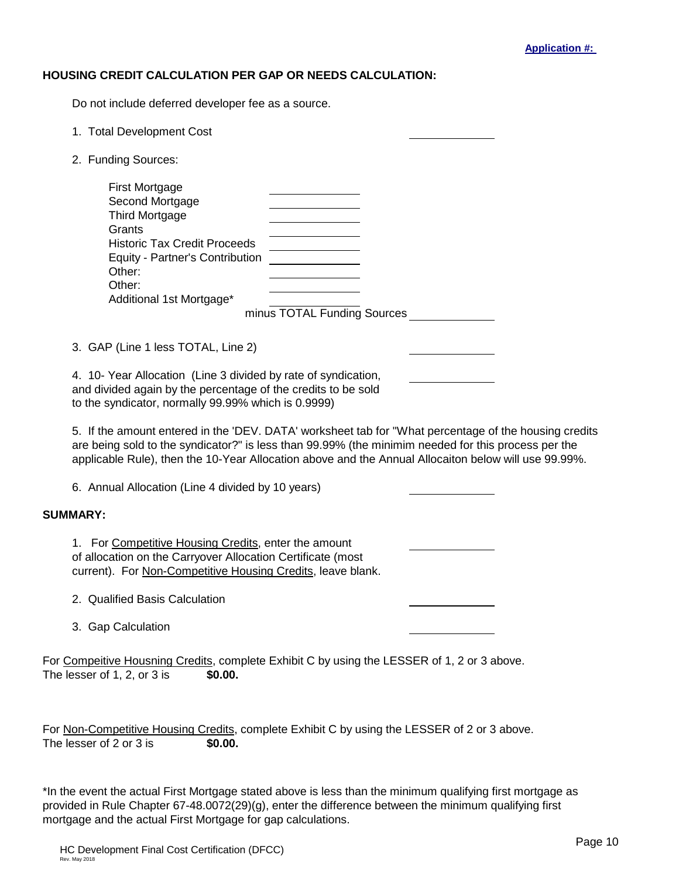2) Additionally, documentation required for **Substantial Rehabilitation** (above).

# **HC Developments Financed With Rural Development Funds must provide:**

- 1) Certificates of Occupancy for each building.
- 2) Compliance/monitoring fee. The amount of the fee can be obtained by calling the Housing Credit staff at (850) 488-4197.
- 3) Copy of the executed Syndication Agreement (Limited Partnership Agreement).
- 4) Original Extended Low-Income Housing Agreement properly signed with appropriate recording fee. This was sent to the HC Development's point of contact approximately 60 days prior to the HC Development's estimated Placed-In-Service date. The Agreement must be in effect by the end of the taxable year that the HC Development plans to claim housing credits in order for a HC Development to claim the credits.
- 5) Photographs of the completed HC Development.
- 6) Execute IRS form 8821 for each financial beneficiary.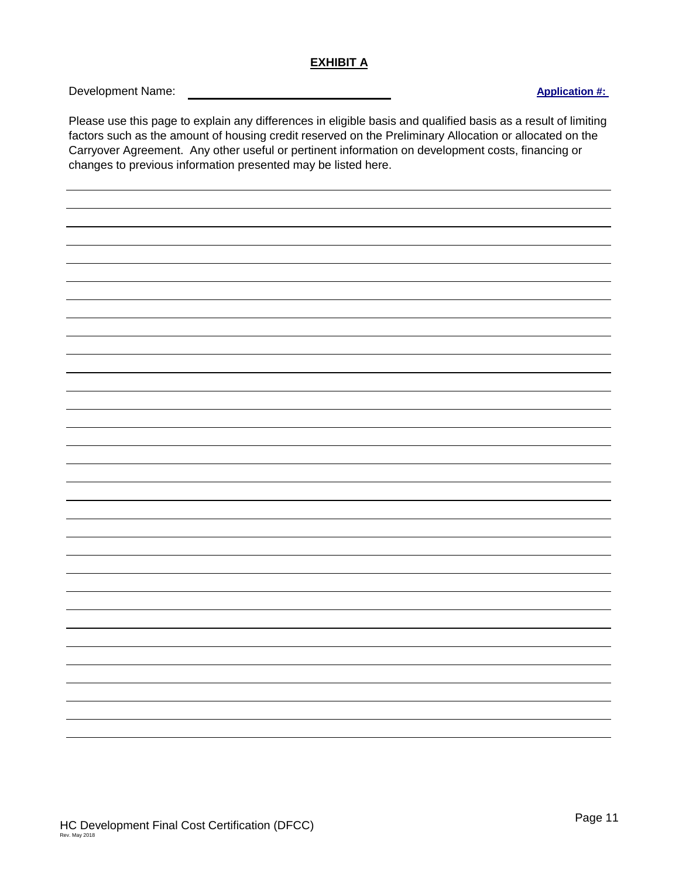## **HC DEVELOPMENT FINAL COST CERTIFICATION INSTRUCTIONS**

The file provided via email is named "HC Development Final Cost Certification Template". **Open the file in Microsoft Excel and immediately save the file under another name.** The program is written so as you complete the certification, you write over program commands and if you do not save the file under another name, you will not be able to use it successfully in the future. Additionally, for the program to work successfully, **you must complete the tabs going from left to right**.

Many cells are protected, the computer will automatically generate these entries depending on your entries, and you will not be able to enter anything into these areas. Many entries once entered are automatically entered in other parts of the certification so you do not have to enter them twice.

On the bottom of your screen you will notice a string of worksheet tabs that represent different worksheets. You work from the worksheet tab that is the farthest to the left and as you complete one worksheet tab move to the next worksheet tab to the right.

You will notice that the fonts have different colors:

- o Items in a black font represent those items that are the template.
- o An item in a brown font represents an item entered by you.
- o An item in a dark blue font represents a copy of an item previously entered by you or a calculation made based on entries previously entered by you. You will be unable to enter anything into a cell that has a dark blue font.
- o An item in a dark green font represents either a copy of something you have previously entered or something you have entered in the cell for the first time. You will be unable to enter anything in a cell with a green font if you have already entered the appropriate information earlier.
- o An item in a red font is a message that may require your attention.

Start at the worksheet tab called 'COSTS'.

### **'COSTS' Worksheet Tab:**

# **ENTER ALL COST/SOURCE FIGURES AS WHOLE NUMBERS.**

### **Page 1**

Type in the HC Development name and Florida Housing's Application number in the spaces provided.

# **Paragraph A SOURCES:**

Form FCCAP Instructions with DFCC Instructions Rev May 2018 67-21.027(6), F.A.C.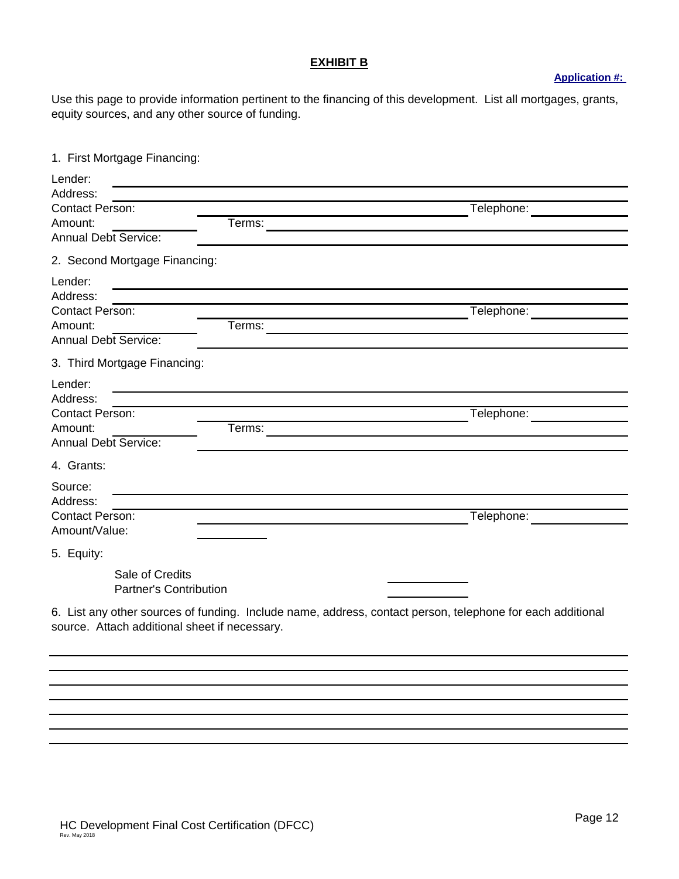1) List the appropriate amount next to its respective listed source in Column 1 and for historic credits in Column 2.

## **Paragraph B.1 (a) Building Costs:**

1) Enter the HC Development's eligible and ineligible expended building costs in the appropriate column.

## **Paragraph B.1 (b) Building Contractor Costs/Fees:**

1) Enter the expended building contractor costs in their appropriate spaces.

**Note:** The computer will give you an error message for the total in Column 3 if building contractor costs exceed 14% of the "Building Cost" total listed in Column 3. Adjust your entries for Building Contractor Costs so they fall within the 14% limitation and the error message will disappear.

# **Page 2**

Continue as you did on page 1 listing the expended costs in the appropriate spaces for paragraphs B.2 and B.3.

# **Page 3**

# **Paragraph B.5 ACQUISITION COST OF EXISTING BUILDING(S) EXCLUDING LAND:**

1) Enter the expended amounts in the appropriate spaces. Please note that the summation of the amounts in Column 3 for cost line items B.5.(a), B.8.(a), and B.8.(b) cannot exceed the appraised value of the property. If actual costs, inclusive of any extension fees, exceed the appraised value, then the actual costs, inclusive of any extension fees, that exceed the appraised value must be provided within the Developer Fees section as cost line item  $B.6(c)$ .

### **Paragraph B.6 DEVELOPER FEES:**

Read the paragraph on 16%, 18% and 21% developer fees and then enter the appropriate percentage for the developer fee limit for which the HC Development qualifies. Enter whole numbers, 16, 18 or 21. If you do not know the appropriate percentage, you may call Florida Housing's HC staff and they will get the answer for you from the HC Development's file.

1) Enter the expended amounts in the appropriate spaces and columns. See instructions above for Paragraph B.5 and below for Paragraph B.8. regarding the use of cost line item B.6.(c).

An error message will appear "Total Developer Fees" if you exceed the limit entered previously. **If this occurs, you need to adjust your figures before proceeding so they fall within the**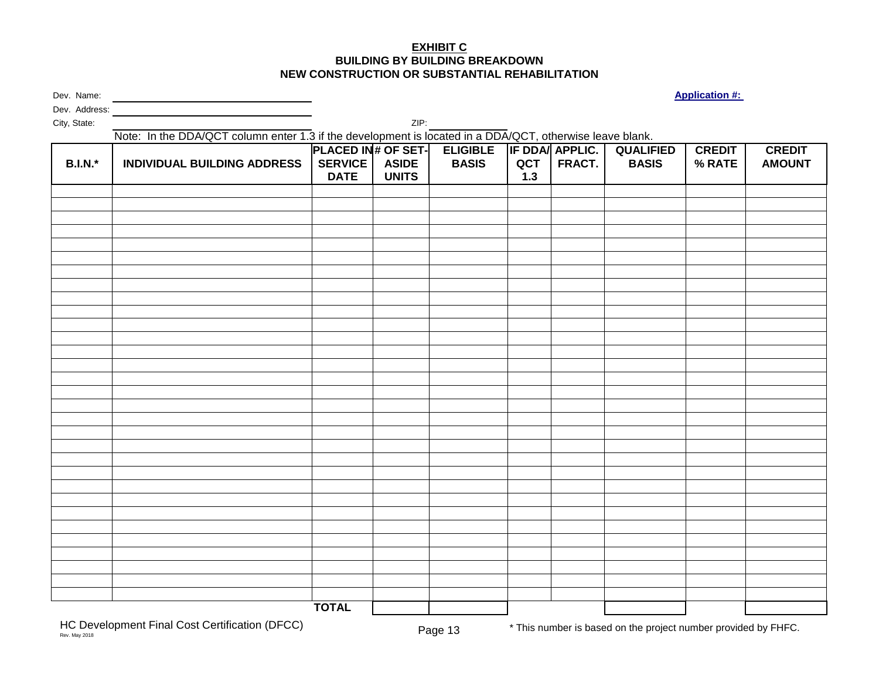**limitation.** The error message will disappear when you have adjusted correctly.

Competitive solicitation processes often have a limitation on Total Development Costs. If the HC Development is subject to a Total Development Cost Per Unit Base Limitation (TDC Limitation) and if the Total Development Costs stated in B.9 exceeds the applicable limit, the Developer fee may have to be adjusted as provided in the competitive solicitation process. A compliance review of any applicable TDC Limitation must be completed prior to the acceptance of the FCCAP by Florida Housing.

# **Paragraph B.8 ACQUISITION COST OF LAND:**

When entering actual cost amounts for cost line items B.8.(a) and/or B.8.(b), these costs shall include any extension fees paid relating to the purchase of the property. The total of these two lines along with cost line item B.5.(a) cannot exceed the appraised value of the property. The appraised value can be found in the Credit Underwriting Report. If actual costs do exceed the appraised value, the actual costs in excess of the appraised value must be placed separately at cost line item B.6.(c). Amounts entered for the Other cost line item (B.8.(c)) must be detailed on page 4 and cannot include such items as real estate taxes, escrows, carrying expenses, extension fees, etc. Depending on the cost item, there may be a cost line item elsewhere that can accommodate the costs not permitted here. This Other cost line item is meant to only capture typical acquisition closing costs such as title work, recording fees, legal fees, etc.

Complete the rest of the page as appropriate.

You may note an error message on the bottom of page 3. This error message will continue to appear until the total listed in Column 3 for "Total Development Cost" equals the total sources listed on page 1. Since the HC Development's cost certification must reflect the actual costs of the HC Development, an adjustment in the sources will need to be completed prior to finalizing if total sources do not equal total costs, inclusive of the possibility of reducing the HC allocation.

# **Page 4**

Now review page 4. If a statement appears in one of the paragraphs that directs you to type in an explanation, you have entered an expense earlier that requires an explanation here. The statement is not protected so **type right over the statement when entering the explanation**. General entries are not acceptable such as: "County impact fee--\$200,000". For example, an acceptable entry would be: "Leon County water and sewage impact fee--\$150,000, Leon County road impact fee-- \$50,000, Total impact fees--\$200,000." Florida Housing reserves the right to determine the appropriateness of cost items and the reasonableness of cost amounts.

Now go to the worksheet tab labeled 'DEV. DATA' next.

# **'DEV. DATA' worksheet tab:**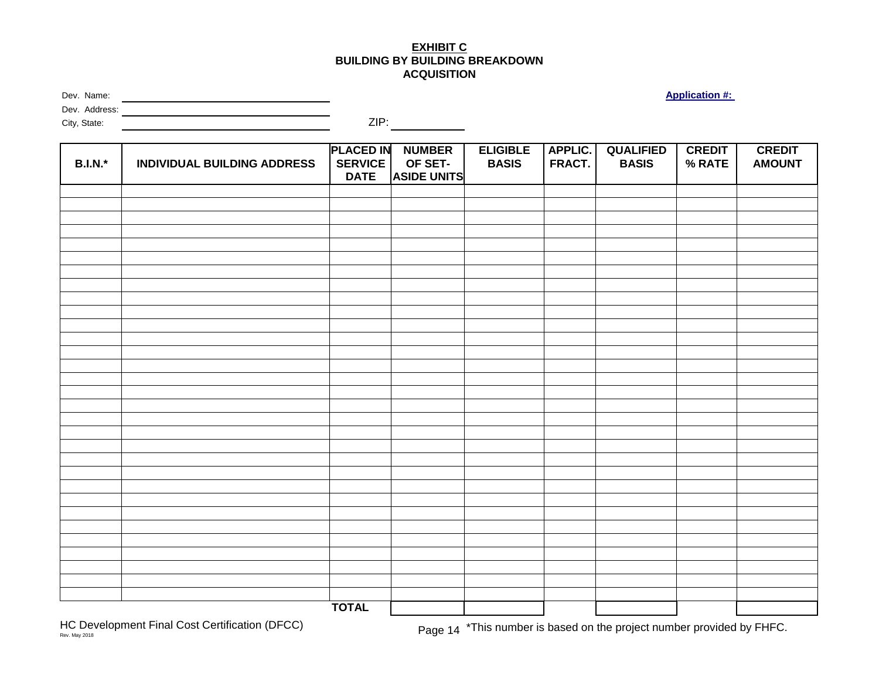## **Page 5**

Follow the instructions on the page exactly.

Remember always to put an "x" on the appropriate line when answering "yes" and "no" questions.

- 1) Type in the name of the Syndicator in the space provided.
- 2) Enter the Syndication Rate in the format instructed on the form. This input is used to calculate HC equity in the gap calculation later in the process. Please enter the exact syndication rate (i.e., price paid per dollar for the HC allocation sold). For accuracy, you may want to enter a formula of the total HC equity being provided to the HC Development divided by the total HC allocation being sold.
- 3) Enter the percentage of the credits that are being sold in the format instructed on the form. This input is used to calculate HC equity in the gap calculation later in the process. Please enter the exact figure.

4)

- a) Item 1.a.: Answer the question with an "x" in the appropriate spot. Note: If you answer "Yes" to the question in reference to the buildings all having the same rate, the rate you now enter will be copied to the other worksheets
- b) Item 1.b.: Enter the rate only if all the buildings have the same rate.
- c) Item 1.c.: Answer the question with an "x" in the appropriate spot.
- d) Item 2: Answer the question with an "x" in the appropriate spot.
- e) Item 3: **If the HC Development has less than 100% set-aside for low-income tenants,** the percentage set-aside will be automatically entered when you have completed the 'APPLIC. FRACT.' worksheet tab. If the HC Development has 100% set-aside, and you so indicated by checking "yes", "100" will be automatically inserted.
- f) Item 4. Answer the question with an "x" in the appropriate spot.

### **Page 6**

- g) Item 5. If the HC Development is being financed with tax-exempt bonds, enter the requested information at 5.a. and 5.b.
- h) Item 6. Answer the question at 6.a. with an "x" in the appropriate spot and if applicable, enter the information requested at 6.b.

Enter the appropriate information in the spaces provided. The Federal Tax Identification Number you list will be the one that goes on the 8609(s), so insure the appropriate one is listed. Make sure page 6 is properly signed and that the original signatures appear on the copy submitted to the Corporation.

Go to the worksheet tab labeled 'APPLIC. FRACT.' next.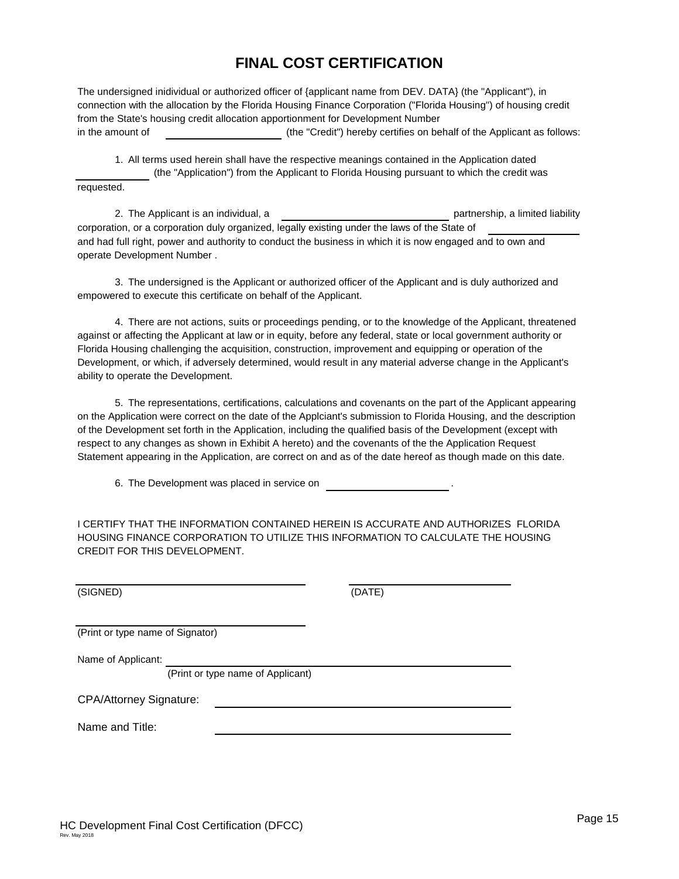## **'APPLIC. FRACT.' worksheet tab:**

# **Page 7**

You only need to complete the first 3 columns if the HC Development's units are 100% affordable.

**All units must be included within the Total Residential Units column regardless of their setaside status. If a HC Development is less than 100% affordable, then any management/ employee units must be included as part of the non-set-aside units. Only include the setaside units in the Total Set-Aside Unit column as well as the associated square footage of said set-aside units in the Total Set-Aside Square Footage column.**

Complete the worksheet as follows:

- 1) Enter the building address. **If there is a Carryover Agreement, the address should match with what is on Exhibit A of the Carryover Agreement unless the address was unknown at the time the Agreement was made.** This is the address that will go on the IRS Form 8609.
- 2) Enter the total number of residential units in the building.
- 3) Enter the number of set-aside units in the building. **If there is a Carryover Agreement, the number of units for each building should match with what is on Exhibit A**. Otherwise the total number of units should match with what is in the HC Development's Application.
- 4) The Unit Fraction will automatically be calculated for you.

If the HC Development has less than 100% set-aside for low-income tenants, continue with the following instructions:

- 5) Enter the total residential square footage for all units in the building.
- 6) Enter the total square footage of the set-aside units in the building.
- 7) The Floor Space Fraction will automatically be calculated for you.
- 8) The Applicable Fraction will automatically be calculated for you.
- 9) Complete the above for each building.

Now go to the worksheet tabs labeled "QUAL. CALC." and/or "QUAL. ACQU." as required below. These two worksheets are your qualified basis calculation worksheets.

# **'QUAL. CALC' and 'QUAL ACQU.' worksheet tabs:**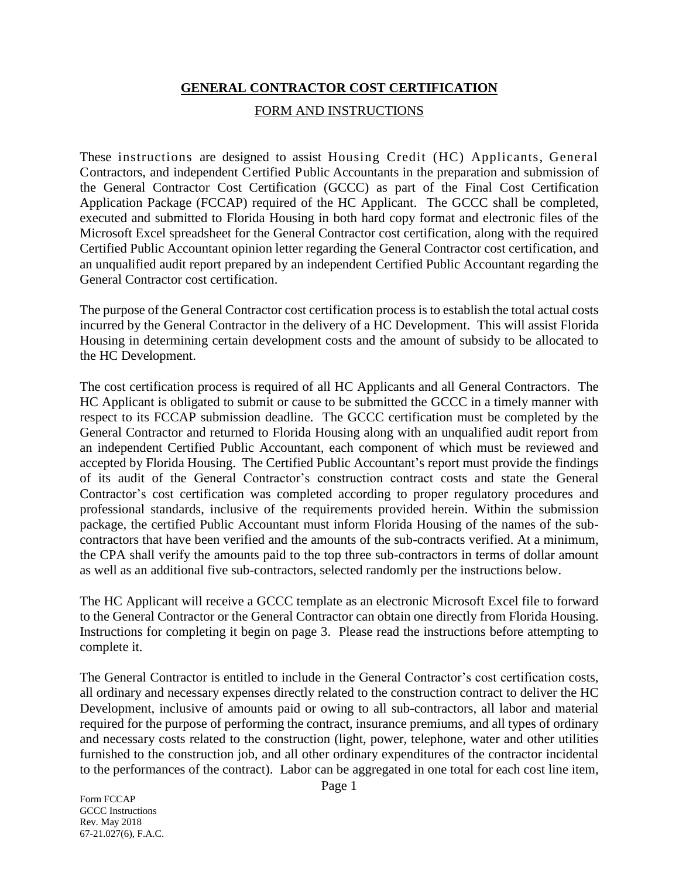### **Pages 8 and 9:**

Most of the entries on these worksheet will automatically be entered for you based on your input on the worksheets and your previous input on other worksheets.

Complete the 'QUAL. CALC' worksheet using the following instructions. If credits are being sought for the acquisition of a building, follow the same instructions for the 'QUAL. ACQU.' worksheet.

For each building:

- 1) Enter the placed-in-service date in the second column. The date should correspond to **the certificate of occupancy or other documentation being provided to the Corporation showing the placed in service date.**
- 2) Enter the eligible basis in the fourth column. The eligible basis **should reflect the adjustments listed at Item 6.b. on page 6** on the 'DEV. DATA' worksheet tab such as federal grants, etc. If the eligible basis total for the 'QUAL. CALC' worksheet tab does not equal the total eligible basis listed on the 'COSTS' worksheet tab minus the acquisition eligible basis and any adjustments, a message will appear at the bottom of the worksheet advising you of a possible error. If the eligible basis total for the 'QUAL. ACQU.' worksheet tab does not equal the eligible basis listed for acquisition on the 'COSTS' worksheet tab, a message will appear at the bottom of the worksheet advising you of a possible error. If either or both of these happen, please provide an explanation at Exhibit A.
- 3) If you entered that the HC Development's buildings all had the same credit rate at Item 1 on page 5 at 'DEV. DATA' worksheet tab, the credit rate that was entered on page 5 will be automatically entered here. If the HC Development's buildings have different credit rates, you must enter the applicable credit rate based on the placed-in-service date of the building.

Now go to the worksheet tab labeled 'CREDIT CALC.' next.

### **'CREDIT CALC.' worksheet tab:**

### **Page 10:**

Scroll to the Summary towards the bottom of the page and if the HC Development is to receive an allocation of Competitive Housing Credits, enter the Reservation amount on the Preliminary Allocation Certificate or the amount of Allocation on the Carryover Allocation Certificate (most current) at Line 1. Leave Line 1 blank if the HC Development is financed with tax-exempt bonds.

The other entries will automatically be entered for you.

Now go to the worksheet tab labeled 'EXHIBIT A' next.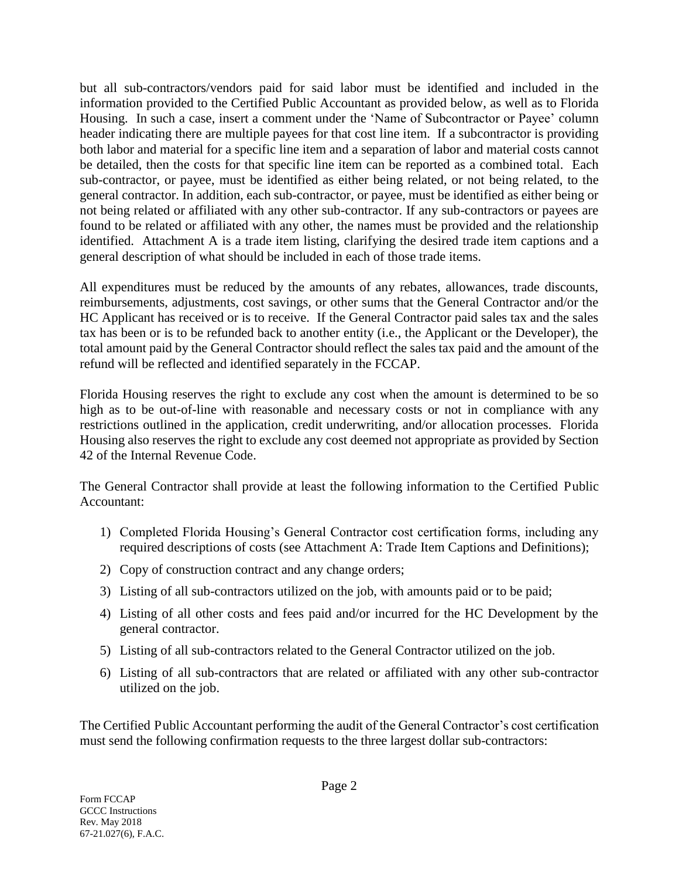## **'EXHIBIT A' worksheet tab:**

## **Page 11:**

You do not have to complete this exhibit if Line 2 (Qualified Basis Calculation) of the Summary section on page 10 ('CREDIT CALC.' worksheet tab) is the lowest amount of the three entries. Otherwise, you will have to enter a statement similar to the following (this is the case where Line 1 figure is the lowest of the three): "On Exhibit C, the eligible basis shown is a lesser amount than the actual eligible basis. The eligible basis was decreased so the housing credit calculation's result would equal the amount allocated to the HC Development by the Corporation." When the Gap Calculation results in the housing credit amount to be allocated, then a similar statement as the preceding (or that outlined above) needs to be typed in.

Additionally, please type in any other useful information or clarification.

When finished with 'EXHIBIT A' go to the worksheet tab labeled 'EXHIBIT B' next.

### **'EXHIBIT B' worksheet tab:**

### **Page 12:**

You will notice that the amounts have been automatically transferred from page 1 (in the 'COSTS' worksheet tab). Enter the appropriate information in the spaces provided. Use additional sheets of paper if necessary.

Once completed, go to the worksheet tab labeled 'EXHIBIT C' next.

### **'EXHIBIT C' and 'EX. C. ACQUI.' worksheet tabs:**

### **Pages 13 and 14:**

Enter the HC Development's address in the space provided.

All other applicable data, except Building Identification Numbers, will be automatically entered based on your previous input on other worksheets. If the HC Development involved acquisition, the 'EX. C. ACQUI.' worksheet tab will be automatically completed. You may enter the Building Identification Number (BIN), if you wish or leave it for the Corporation to insert. You can obtain the BIN from Exhibit A of the HC Development's Carryover Allocation Agreement. Please ensure that the BIN entered for a building matches the same BIN and building on Exhibit A of the Carryover Allocation Agreement.

If the figure listed at Line 2 of the Summary section on the 'CREDIT CALC.' worksheet tab is the lowest figure listed, the eligible basis for each of the buildings will match what was entered on the 'QUAL. CALC' worksheet tab for the 'EXHIBIT C' worksheet tab and for the 'EX. C. ACQUI.' worksheet tab, what was entered on the 'QUAL. ACQU.' Worksheet tab.